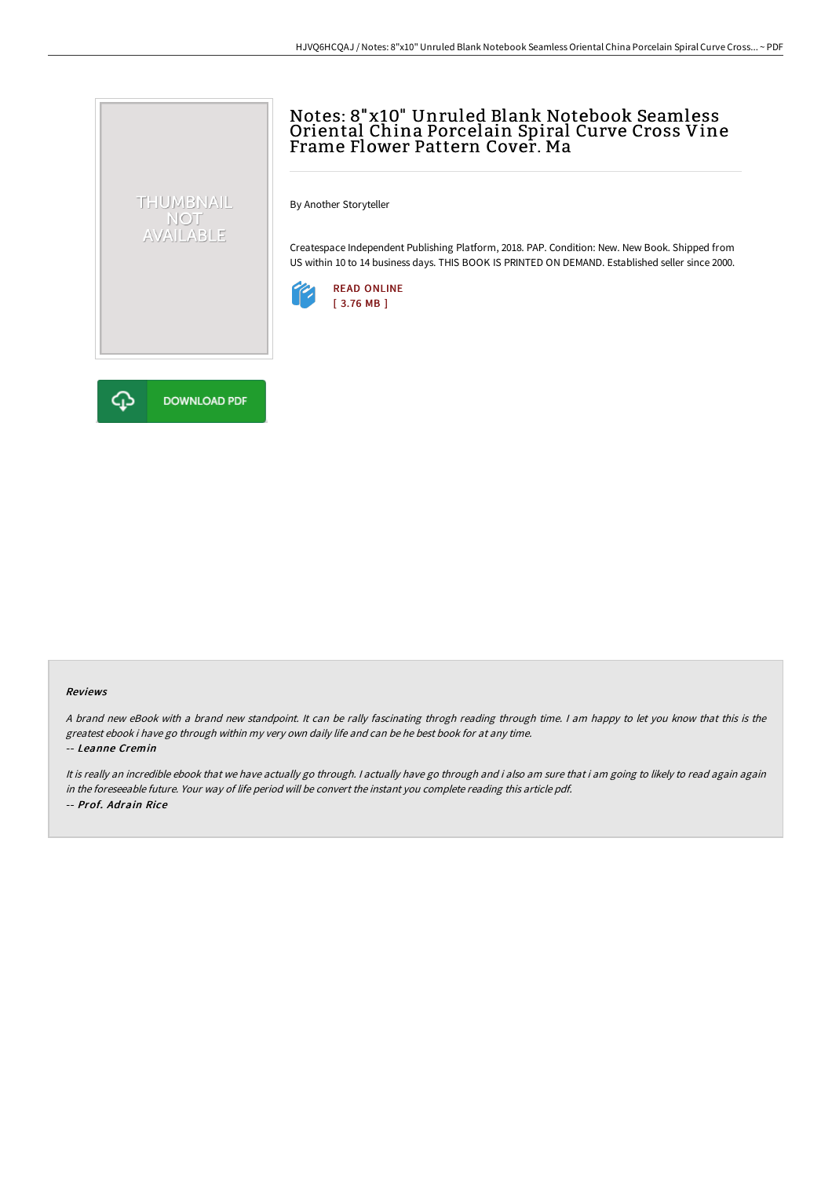# Notes: 8"x10" Unruled Blank Notebook Seamless Oriental China Porcelain Spiral Curve Cross Vine Frame Flower Pattern Cover. Ma

By Another Storyteller

Createspace Independent Publishing Platform, 2018. PAP. Condition: New. New Book. Shipped from US within 10 to 14 business days. THIS BOOK IS PRINTED ON DEMAND. Established seller since 2000.





THUMBNAIL NOT<br>AVAILABLE

#### Reviews

A brand new eBook with a brand new standpoint. It can be rally fascinating throgh reading through time. I am happy to let you know that this is the greatest ebook i have go through within my very own daily life and can be he best book for at any time. -- Leanne Cremin

It is really an incredible ebook that we have actually go through. I actually have go through and i also am sure that i am going to likely to read again again in the foreseeable future. Your way of life period will be convert the instant you complete reading this article pdf. -- Prof. Adrain Rice